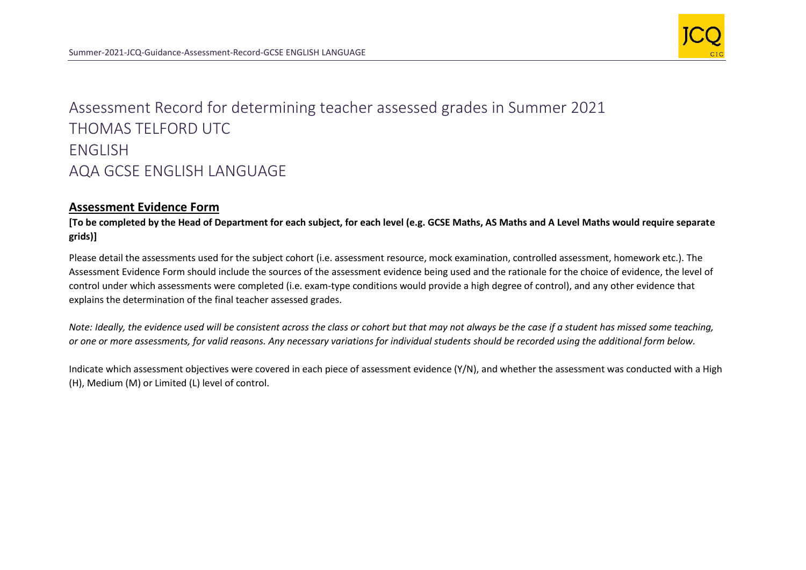

## Assessment Record for determining teacher assessed grades in Summer 2021 THOMAS TELFORD UTC ENGLISH AQA GCSE ENGLISH LANGUAGE

## **Assessment Evidence Form**

**[To be completed by the Head of Department for each subject, for each level (e.g. GCSE Maths, AS Maths and A Level Maths would require separate grids)]**

Please detail the assessments used for the subject cohort (i.e. assessment resource, mock examination, controlled assessment, homework etc.). The Assessment Evidence Form should include the sources of the assessment evidence being used and the rationale for the choice of evidence, the level of control under which assessments were completed (i.e. exam-type conditions would provide a high degree of control), and any other evidence that explains the determination of the final teacher assessed grades.

*Note: Ideally, the evidence used will be consistent across the class or cohort but that may not always be the case if a student has missed some teaching, or one or more assessments, for valid reasons. Any necessary variations for individual students should be recorded using the additional form below.* 

Indicate which assessment objectives were covered in each piece of assessment evidence (Y/N), and whether the assessment was conducted with a High (H), Medium (M) or Limited (L) level of control.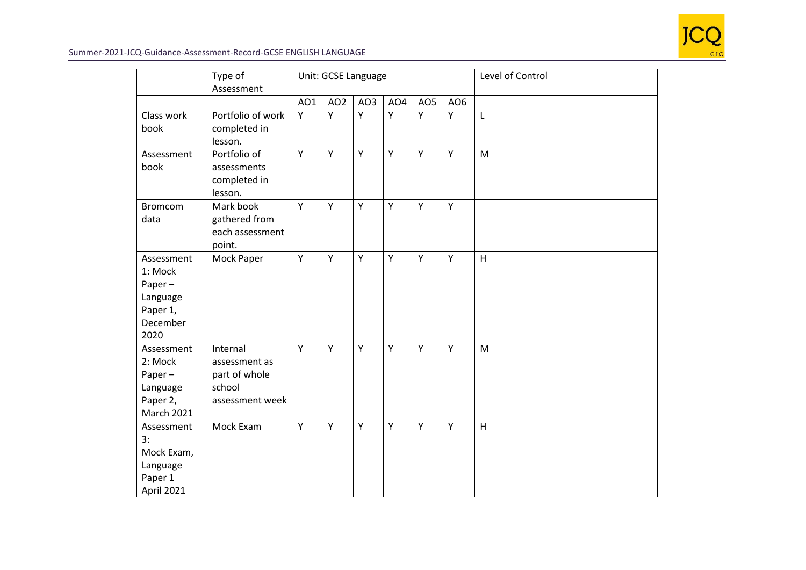

## Summer-2021-JCQ-Guidance-Assessment-Record-GCSE ENGLISH LANGUAGE

|                                                                                 | Type of<br>Assessment                                                   |     | Unit: GCSE Language |     |                 |                 | Level of Control |   |
|---------------------------------------------------------------------------------|-------------------------------------------------------------------------|-----|---------------------|-----|-----------------|-----------------|------------------|---|
|                                                                                 |                                                                         | AO1 | AO <sub>2</sub>     | AO3 | AO <sub>4</sub> | AO <sub>5</sub> | AO <sub>6</sub>  |   |
| Class work<br>book                                                              | Portfolio of work<br>completed in<br>lesson.                            | Υ   | Υ                   | Υ   | Y               | Υ               | Υ                | L |
| Assessment<br>book                                                              | Portfolio of<br>assessments<br>completed in<br>lesson.                  | Υ   | Υ                   | Y   | Y               | Y               | Y                | M |
| <b>Bromcom</b><br>data                                                          | Mark book<br>gathered from<br>each assessment<br>point.                 | Y   | Υ                   | Y   | Y               | Y               | Y                |   |
| Assessment<br>1: Mock<br>Paper $-$<br>Language<br>Paper 1,<br>December<br>2020  | Mock Paper                                                              | Υ   | Υ                   | Y   | Y               | Y               | Y                | H |
| Assessment<br>2: Mock<br>Paper $-$<br>Language<br>Paper 2,<br><b>March 2021</b> | Internal<br>assessment as<br>part of whole<br>school<br>assessment week | Y   | Y                   | Y   | Y               | Y               | Y                | M |
| Assessment<br>3:<br>Mock Exam,<br>Language<br>Paper 1<br>April 2021             | Mock Exam                                                               | Y   | Υ                   | Y   | Y               | Y               | Y                | H |